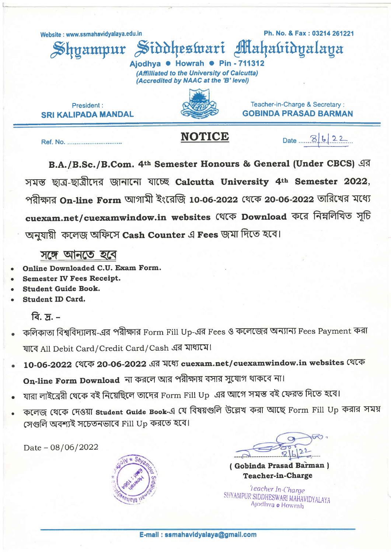Website: www.ssmahavidyalaya.edu.in

hvampur

Ph. No. & Fax: 03214 261221 ahabidualaya

Ajodhya · Howrah · Pin - 711312 (Affilliated to the University of Calcutta) (Accredited by NAAC at the 'B' level)

Siddheswari

President: **SRI KAI IPADA MANDAL** 



**NOTICE** 

Teacher-in-Charge & Secretary: **GOBINDA PRASAD BARMAN** 

Date 3/6/22

Ref. No. ..............................

B.A./B.Sc./B.Com. 4th Semester Honours & General (Under CBCS) এর সমস্ত ছাত্ৰ-ছাত্ৰীদেৱ জানানো যাচ্ছে Calcutta University 4th Semester 2022, পরীক্ষার On-line Form আগামী ইংরেজি 10-06-2022 থেকে 20-06-2022 তারিখের মধ্যে cuexam.net/cuexamwindow.in websites থেকে Download করে নিম্নলিখিত সচি অনযায়ী কলেজ অফিসে Cash Counter এ Fees জমা দিতে হবে।

সঙ্গে আনতে হবে

- Online Downloaded C.U. Exam Form.
- **Semester IV Fees Receipt.**
- **Student Guide Book.**
- Student ID Card.

বি.  $\pi$ . –

- কলিকাতা বিশ্ববিদ্যালয়-এর পরীক্ষার Form Fill Up-এর Fees ও কলেজের অন্যান্য Fees Payment করা যাবে All Debit Card/Credit Card/Cash এর মাধ্যমে।
- 10-06-2022 (थत्क 20-06-2022 এর মধ্যে cuexam.net/cuexamwindow.in websites থেকে On-line Form Download না করলে আর পরীক্ষায় বসার সুযোগ থাকবে না।
- যারা লাইব্রেরী থেকে বই নিয়েছিলে তাদের Form Fill Up এর আগে সমস্ত বই ফেরত দিতে হবে।
- কলেজ থেকে দেওয়া student Guide Book-এ যে বিষয়গুলি উল্লেখ করা আছে Form Fill Up করার সময় সেগুলি অবশ্যই সচেতনভাবে Fill Up করতে হবে।

Date  $-08/06/2022$ 



(Gobinda Prasad Barman) **Teacher-in-Charge** 

'I eacher In-Charge SHYAMPUR SIDDHESWARI MAHAVIDYALAYA Ajodhya o Howrah